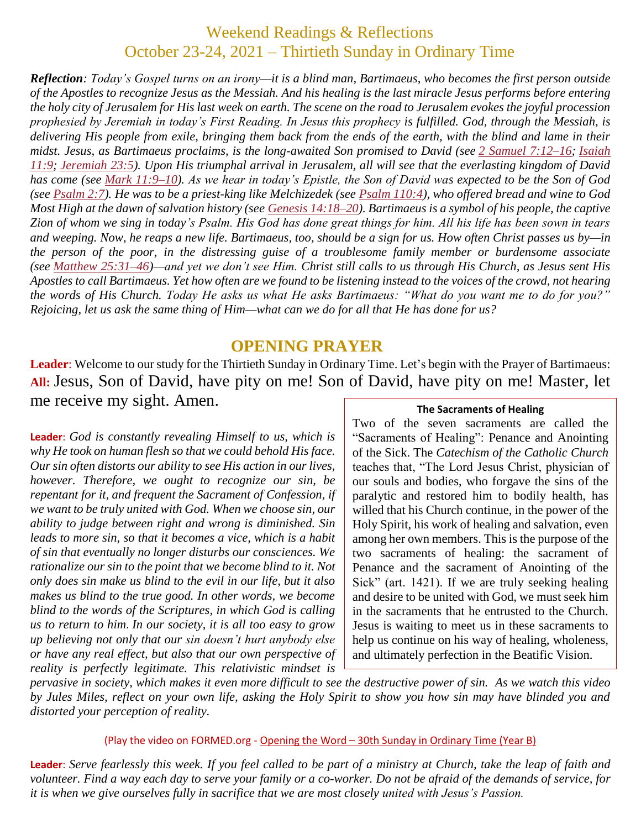## Weekend Readings & Reflections October 23-24, 2021 – Thirtieth Sunday in Ordinary Time

*Reflection: Today's Gospel turns on an irony—it is a blind man, Bartimaeus, who becomes the first person outside of the Apostles to recognize Jesus as the Messiah. And his healing is the last miracle Jesus performs before entering the holy city of Jerusalem for His last week on earth. The scene on the road to Jerusalem evokes the joyful procession prophesied by Jeremiah in today's First Reading. In Jesus this prophecy is fulfilled. God, through the Messiah, is delivering His people from exile, bringing them back from the ends of the earth, with the blind and lame in their midst. Jesus, as Bartimaeus proclaims, is the long-awaited Son promised to David (see 2 Samuel [7:12–16;](https://biblia.com/bible/rsvce/2%20Sam%207.12%E2%80%9316) [Isaiah](https://biblia.com/bible/rsvce/Isa%2011.9) [11:9;](https://biblia.com/bible/rsvce/Isa%2011.9) [Jeremiah](https://biblia.com/bible/rsvce/Jer%2023.5) 23:5). Upon His triumphal arrival in Jerusalem, all will see that the everlasting kingdom of David has come (see Mark [11:9–10\)](https://biblia.com/bible/rsvce/Mark%2011.9%E2%80%9310). As we hear in today's Epistle, the Son of David was expected to be the Son of God (see [Psalm](https://biblia.com/bible/rsvce/Ps%202.7) 2:7). He was to be a priest-king like Melchizedek (see Psalm [110:4\)](https://biblia.com/bible/rsvce/Ps%20110.4), who offered bread and wine to God Most High at the dawn of salvation history (see Genesis [14:18–20\)](https://biblia.com/bible/rsvce/Gen%2014.18%E2%80%9320). Bartimaeus is a symbol of his people, the captive Zion of whom we sing in today's Psalm. His God has done great things for him. All his life has been sown in tears and weeping. Now, he reaps a new life. Bartimaeus, too, should be a sign for us. How often Christ passes us by—in the person of the poor, in the distressing guise of a troublesome family member or burdensome associate (see Matthew [25:31–46\)](https://biblia.com/bible/rsvce/Matt%2025.31%E2%80%9346)—and yet we don't see Him. Christ still calls to us through His Church, as Jesus sent His Apostles to call Bartimaeus. Yet how often are we found to be listening instead to the voices of the crowd, not hearing the words of His Church. Today He asks us what He asks Bartimaeus: "What do you want me to do for you?" Rejoicing, let us ask the same thing of Him—what can we do for all that He has done for us?*

#### **OPENING PRAYER**

**Leader**: Welcome to our study for the Thirtieth Sunday in Ordinary Time. Let's begin with the Prayer of Bartimaeus: **All:** Jesus, Son of David, have pity on me! Son of David, have pity on me! Master, let me receive my sight. Amen.

**Leader**: *God is constantly revealing Himself to us, which is why He took on human flesh so that we could behold His face. Our sin often distorts our ability to see His action in our lives, however. Therefore, we ought to recognize our sin, be repentant for it, and frequent the Sacrament of Confession, if we want to be truly united with God. When we choose sin, our ability to judge between right and wrong is diminished. Sin leads to more sin, so that it becomes a vice, which is a habit of sin that eventually no longer disturbs our consciences. We rationalize our sin to the point that we become blind to it. Not only does sin make us blind to the evil in our life, but it also makes us blind to the true good. In other words, we become blind to the words of the Scriptures, in which God is calling us to return to him*. *In our society, it is all too easy to grow up believing not only that our sin doesn't hurt anybody else or have any real effect, but also that our own perspective of reality is perfectly legitimate. This relativistic mindset is* 

#### **The Sacraments of Healing**

Two of the seven sacraments are called the "Sacraments of Healing": Penance and Anointing of the Sick. The *Catechism of the Catholic Church*  teaches that, "The Lord Jesus Christ, physician of our souls and bodies, who forgave the sins of the paralytic and restored him to bodily health, has willed that his Church continue, in the power of the Holy Spirit, his work of healing and salvation, even among her own members. This is the purpose of the two sacraments of healing: the sacrament of Penance and the sacrament of Anointing of the Sick" (art. 1421). If we are truly seeking healing and desire to be united with God, we must seek him in the sacraments that he entrusted to the Church. Jesus is waiting to meet us in these sacraments to help us continue on his way of healing, wholeness, and ultimately perfection in the Beatific Vision.

*pervasive in society, which makes it even more difficult to see the destructive power of sin. As we watch this video by Jules Miles, reflect on your own life, asking the Holy Spirit to show you how sin may have blinded you and distorted your perception of reality.* 

#### (Play the video on FORMED.org - Opening the Word – [30th Sunday in Ordinary Time \(Year B\)](https://watch.formed.org/opening-the-word-1/season:2/videos/30th-sunday-of-ordinary-time-october-28-2018)

**Leader**: *Serve fearlessly this week. If you feel called to be part of a ministry at Church, take the leap of faith and volunteer. Find a way each day to serve your family or a co-worker. Do not be afraid of the demands of service, for it is when we give ourselves fully in sacrifice that we are most closely united with Jesus's Passion.*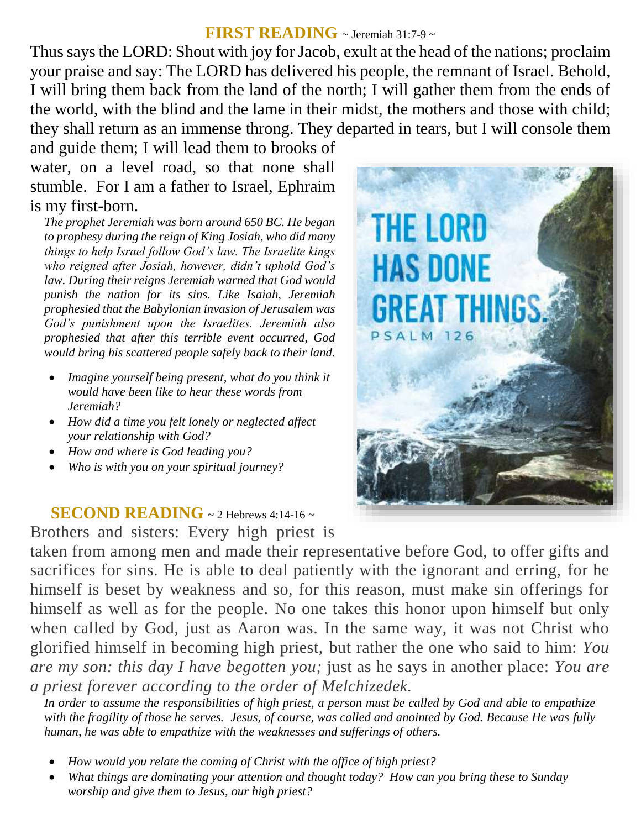#### **FIRST READING** ~ Jeremiah 31:7-9 <sup>~</sup>

Thus says the LORD: Shout with joy for Jacob, exult at the head of the nations; proclaim your praise and say: The LORD has delivered his people, the remnant of Israel. Behold, I will bring them back from the land of the north; I will gather them from the ends of the world, with the blind and the lame in their midst, the mothers and those with child; they shall return as an immense throng. They departed in tears, but I will console them

and guide them; I will lead them to brooks of water, on a level road, so that none shall stumble. For I am a father to Israel, Ephraim is my first-born.

*The prophet Jeremiah was born around 650 BC. He began to prophesy during the reign of King Josiah, who did many things to help Israel follow God's law. The Israelite kings who reigned after Josiah, however, didn't uphold God's law. During their reigns Jeremiah warned that God would punish the nation for its sins. Like Isaiah, Jeremiah prophesied that the Babylonian invasion of Jerusalem was God's punishment upon the Israelites. Jeremiah also prophesied that after this terrible event occurred, God would bring his scattered people safely back to their land.*

- *Imagine yourself being present, what do you think it would have been like to hear these words from Jeremiah?*
- *How did a time you felt lonely or neglected affect your relationship with God?*
- *How and where is God leading you?*
- *Who is with you on your spiritual journey?*

### **SECOND READING**  $\sim$  2 Hebrews 4:14-16  $\sim$

Brothers and sisters: Every high priest is

taken from among men and made their representative before God, to offer gifts and sacrifices for sins. He is able to deal patiently with the ignorant and erring, for he himself is beset by weakness and so, for this reason, must make sin offerings for himself as well as for the people. No one takes this honor upon himself but only when called by God, just as Aaron was. In the same way, it was not Christ who glorified himself in becoming high priest, but rather the one who said to him: *You are my son: this day I have begotten you;* just as he says in another place: *You are a priest forever according to the order of Melchizedek.*

*In order to assume the responsibilities of high priest, a person must be called by God and able to empathize with the fragility of those he serves. Jesus, of course, was called and anointed by God. Because He was fully human, he was able to empathize with the weaknesses and sufferings of others.*

- *How would you relate the coming of Christ with the office of high priest?*
- *What things are dominating your attention and thought today? How can you bring these to Sunday worship and give them to Jesus, our high priest?*

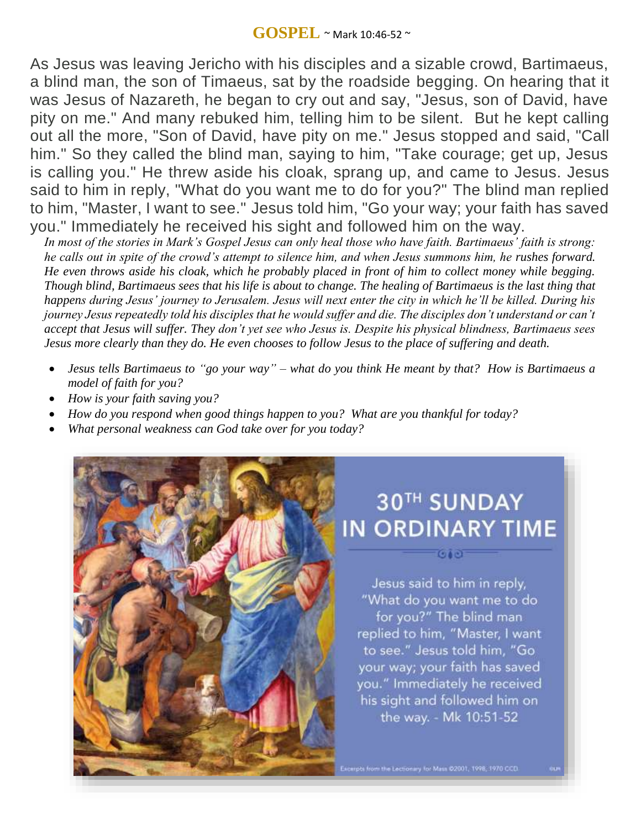#### **GOSPEL** ~ Mark 10:46-52 <sup>~</sup>

As Jesus was leaving Jericho with his disciples and a sizable crowd, Bartimaeus, a blind man, the son of Timaeus, sat by the roadside begging. On hearing that it was Jesus of Nazareth, he began to cry out and say, "Jesus, son of David, have pity on me." And many rebuked him, telling him to be silent. But he kept calling out all the more, "Son of David, have pity on me." Jesus stopped and said, "Call him." So they called the blind man, saying to him, "Take courage; get up, Jesus is calling you." He threw aside his cloak, sprang up, and came to Jesus. Jesus said to him in reply, "What do you want me to do for you?" The blind man replied to him, "Master, I want to see." Jesus told him, "Go your way; your faith has saved you." Immediately he received his sight and followed him on the way.

*In most of the stories in Mark's Gospel Jesus can only heal those who have faith. Bartimaeus' faith is strong: he calls out in spite of the crowd's attempt to silence him, and when Jesus summons him, he rushes forward. He even throws aside his cloak, which he probably placed in front of him to collect money while begging. Though blind, Bartimaeus sees that his life is about to change. The healing of Bartimaeus is the last thing that happens during Jesus' journey to Jerusalem. Jesus will next enter the city in which he'll be killed. During his journey Jesus repeatedly told his disciples that he would suffer and die. The disciples don't understand or can't accept that Jesus will suffer. They don't yet see who Jesus is. Despite his physical blindness, Bartimaeus sees Jesus more clearly than they do. He even chooses to follow Jesus to the place of suffering and death.*

- *Jesus tells Bartimaeus to "go your way" – what do you think He meant by that? How is Bartimaeus a model of faith for you?*
- *How is your faith saving you?*
- *How do you respond when good things happen to you? What are you thankful for today?*
- *What personal weakness can God take over for you today?*



# **30TH SUNDAY IN ORDINARY TIME**

Jesus said to him in reply, "What do you want me to do for you?" The blind man replied to him, "Master, I want to see." Jesus told him, "Go your way; your faith has saved you." Immediately he received his sight and followed him on the way. - Mk 10:51-52